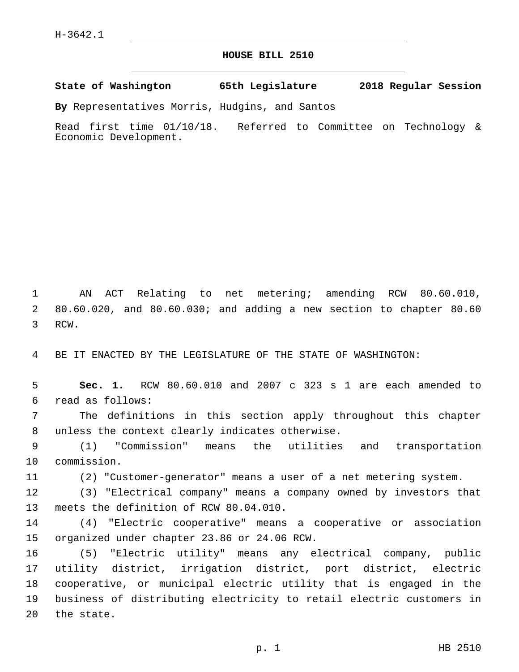## **HOUSE BILL 2510**

**State of Washington 65th Legislature 2018 Regular Session**

**By** Representatives Morris, Hudgins, and Santos

Read first time 01/10/18. Referred to Committee on Technology & Economic Development.

1 AN ACT Relating to net metering; amending RCW 80.60.010, 2 80.60.020, and 80.60.030; and adding a new section to chapter 80.60 3 RCW.

4 BE IT ENACTED BY THE LEGISLATURE OF THE STATE OF WASHINGTON:

5 **Sec. 1.** RCW 80.60.010 and 2007 c 323 s 1 are each amended to read as follows:6

7 The definitions in this section apply throughout this chapter 8 unless the context clearly indicates otherwise.

9 (1) "Commission" means the utilities and transportation 10 commission.

11 (2) "Customer-generator" means a user of a net metering system.

12 (3) "Electrical company" means a company owned by investors that 13 meets the definition of RCW 80.04.010.

14 (4) "Electric cooperative" means a cooperative or association 15 organized under chapter 23.86 or 24.06 RCW.

 (5) "Electric utility" means any electrical company, public utility district, irrigation district, port district, electric cooperative, or municipal electric utility that is engaged in the business of distributing electricity to retail electric customers in 20 the state.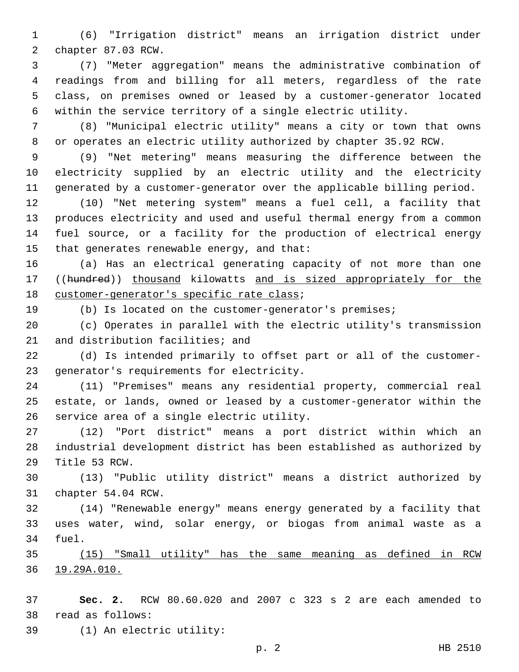(6) "Irrigation district" means an irrigation district under 2 chapter 87.03 RCW.

 (7) "Meter aggregation" means the administrative combination of readings from and billing for all meters, regardless of the rate class, on premises owned or leased by a customer-generator located within the service territory of a single electric utility.

 (8) "Municipal electric utility" means a city or town that owns or operates an electric utility authorized by chapter 35.92 RCW.

 (9) "Net metering" means measuring the difference between the electricity supplied by an electric utility and the electricity generated by a customer-generator over the applicable billing period.

 (10) "Net metering system" means a fuel cell, a facility that produces electricity and used and useful thermal energy from a common fuel source, or a facility for the production of electrical energy 15 that generates renewable energy, and that:

 (a) Has an electrical generating capacity of not more than one 17 ((hundred)) thousand kilowatts and is sized appropriately for the 18 customer-generator's specific rate class;

(b) Is located on the customer-generator's premises;

 (c) Operates in parallel with the electric utility's transmission 21 and distribution facilities; and

 (d) Is intended primarily to offset part or all of the customer-23 generator's requirements for electricity.

 (11) "Premises" means any residential property, commercial real estate, or lands, owned or leased by a customer-generator within the 26 service area of a single electric utility.

 (12) "Port district" means a port district within which an industrial development district has been established as authorized by 29 Title 53 RCW.

 (13) "Public utility district" means a district authorized by 31 chapter 54.04 RCW.

 (14) "Renewable energy" means energy generated by a facility that uses water, wind, solar energy, or biogas from animal waste as a 34 fuel.

 (15) "Small utility" has the same meaning as defined in RCW 19.29A.010.

 **Sec. 2.** RCW 80.60.020 and 2007 c 323 s 2 are each amended to read as follows:38

(1) An electric utility:39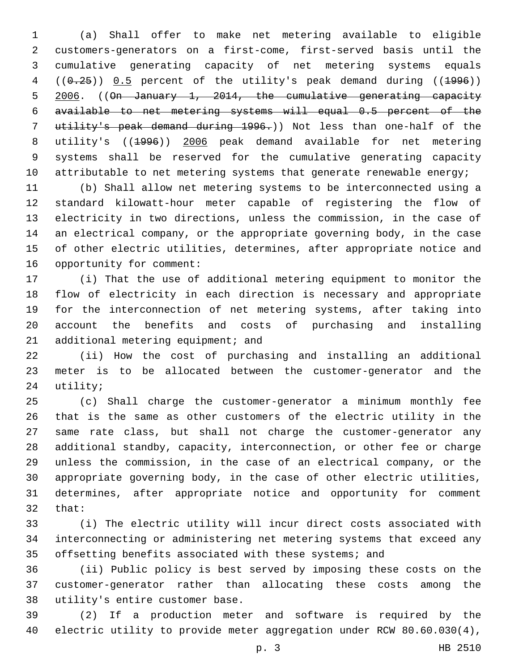(a) Shall offer to make net metering available to eligible customers-generators on a first-come, first-served basis until the cumulative generating capacity of net metering systems equals  $((0.25))$   $0.5$  percent of the utility's peak demand during  $((1996))$  2006. ((On January 1, 2014, the cumulative generating capacity available to net metering systems will equal 0.5 percent of the utility's peak demand during 1996.)) Not less than one-half of the utility's ((1996)) 2006 peak demand available for net metering systems shall be reserved for the cumulative generating capacity 10 attributable to net metering systems that generate renewable energy;

 (b) Shall allow net metering systems to be interconnected using a standard kilowatt-hour meter capable of registering the flow of electricity in two directions, unless the commission, in the case of an electrical company, or the appropriate governing body, in the case of other electric utilities, determines, after appropriate notice and 16 opportunity for comment:

 (i) That the use of additional metering equipment to monitor the flow of electricity in each direction is necessary and appropriate for the interconnection of net metering systems, after taking into account the benefits and costs of purchasing and installing 21 additional metering equipment; and

 (ii) How the cost of purchasing and installing an additional meter is to be allocated between the customer-generator and the 24 utility;

 (c) Shall charge the customer-generator a minimum monthly fee that is the same as other customers of the electric utility in the same rate class, but shall not charge the customer-generator any additional standby, capacity, interconnection, or other fee or charge unless the commission, in the case of an electrical company, or the appropriate governing body, in the case of other electric utilities, determines, after appropriate notice and opportunity for comment 32 that:

 (i) The electric utility will incur direct costs associated with interconnecting or administering net metering systems that exceed any offsetting benefits associated with these systems; and

 (ii) Public policy is best served by imposing these costs on the customer-generator rather than allocating these costs among the 38 utility's entire customer base.

 (2) If a production meter and software is required by the electric utility to provide meter aggregation under RCW 80.60.030(4),

p. 3 HB 2510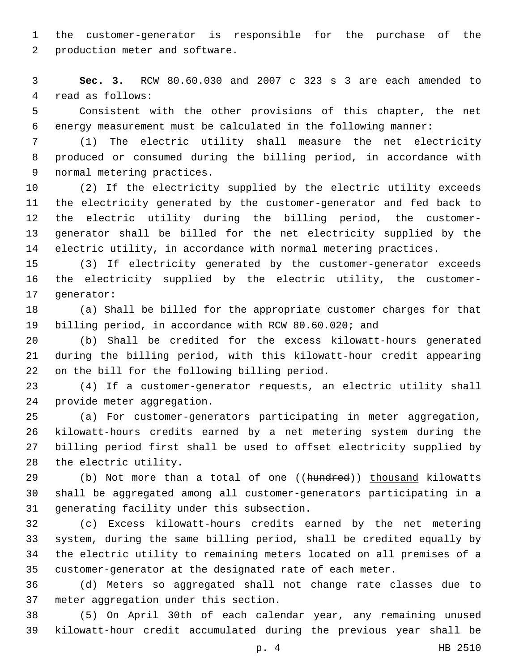the customer-generator is responsible for the purchase of the 2 production meter and software.

 **Sec. 3.** RCW 80.60.030 and 2007 c 323 s 3 are each amended to 4 read as follows:

 Consistent with the other provisions of this chapter, the net energy measurement must be calculated in the following manner:

 (1) The electric utility shall measure the net electricity produced or consumed during the billing period, in accordance with 9 normal metering practices.

 (2) If the electricity supplied by the electric utility exceeds the electricity generated by the customer-generator and fed back to the electric utility during the billing period, the customer- generator shall be billed for the net electricity supplied by the electric utility, in accordance with normal metering practices.

 (3) If electricity generated by the customer-generator exceeds the electricity supplied by the electric utility, the customer-17 generator:

 (a) Shall be billed for the appropriate customer charges for that billing period, in accordance with RCW 80.60.020; and

 (b) Shall be credited for the excess kilowatt-hours generated during the billing period, with this kilowatt-hour credit appearing 22 on the bill for the following billing period.

 (4) If a customer-generator requests, an electric utility shall 24 provide meter aggregation.

 (a) For customer-generators participating in meter aggregation, kilowatt-hours credits earned by a net metering system during the billing period first shall be used to offset electricity supplied by 28 the electric utility.

29 (b) Not more than a total of one ((hundred)) thousand kilowatts shall be aggregated among all customer-generators participating in a 31 generating facility under this subsection.

 (c) Excess kilowatt-hours credits earned by the net metering system, during the same billing period, shall be credited equally by the electric utility to remaining meters located on all premises of a customer-generator at the designated rate of each meter.

 (d) Meters so aggregated shall not change rate classes due to 37 meter aggregation under this section.

 (5) On April 30th of each calendar year, any remaining unused kilowatt-hour credit accumulated during the previous year shall be

p. 4 HB 2510